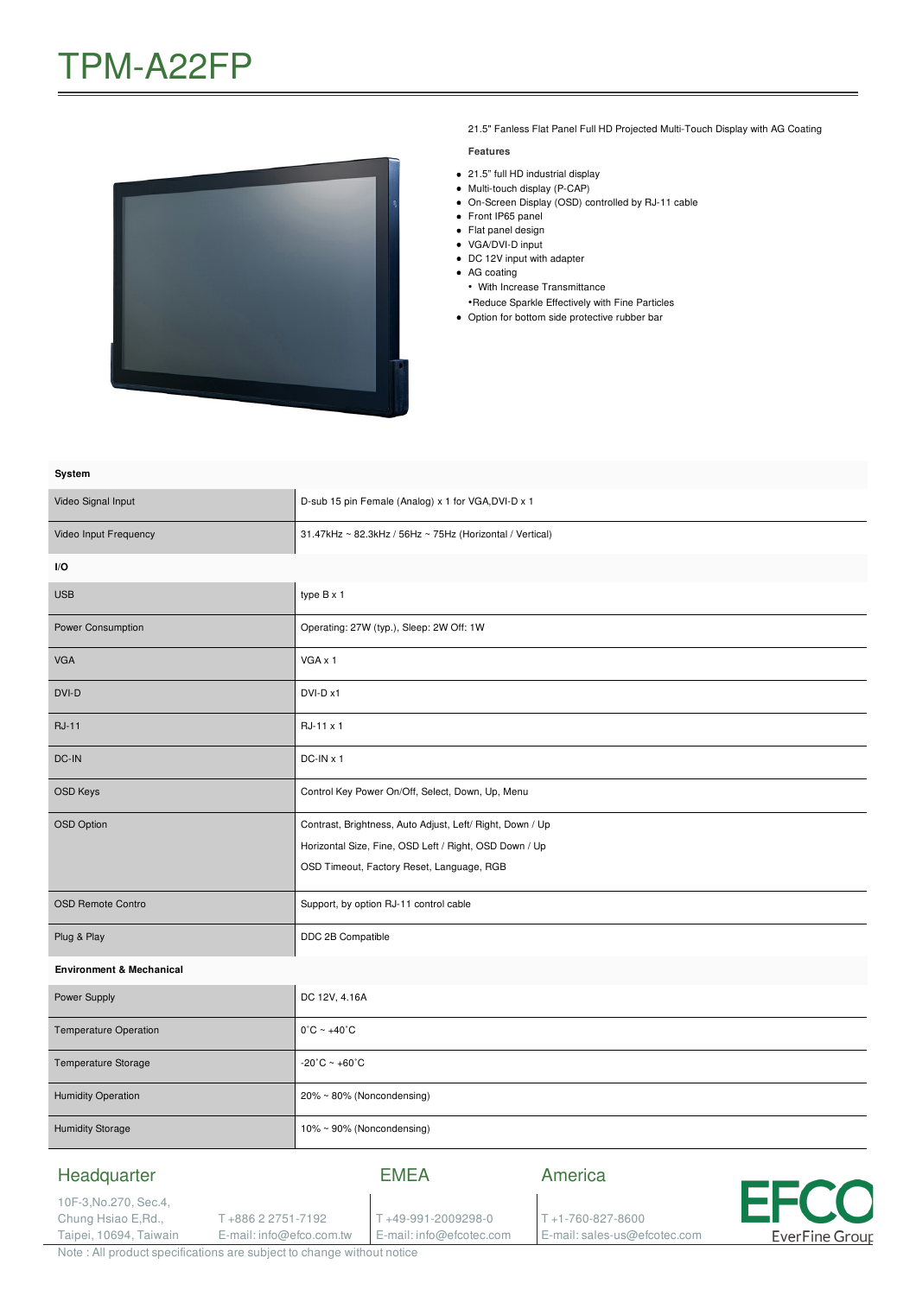

21.5" Fanless Flat Panel Full HD Projected Multi-Touch Display with AG Coating

#### **Features**

- 21.5" full HD industrial display
- Multi-touch display (P-CAP)
- On-Screen Display (OSD) controlled by RJ-11 cable
- Front IP65 panel
- Flat panel design
- VGA/DVI-D input
- DC 12V input with adapter
- AG coating
- With Increase Transmittance •Reduce Sparkle Effectively with Fine Particles
- Option for bottom side protective rubber bar

| System                                 |                                                                                                                                                                  |  |  |
|----------------------------------------|------------------------------------------------------------------------------------------------------------------------------------------------------------------|--|--|
| Video Signal Input                     | D-sub 15 pin Female (Analog) x 1 for VGA, DVI-D x 1                                                                                                              |  |  |
| Video Input Frequency                  | 31.47kHz ~ 82.3kHz / 56Hz ~ 75Hz (Horizontal / Vertical)                                                                                                         |  |  |
| I/O                                    |                                                                                                                                                                  |  |  |
| <b>USB</b>                             | type B x 1                                                                                                                                                       |  |  |
| Power Consumption                      | Operating: 27W (typ.), Sleep: 2W Off: 1W                                                                                                                         |  |  |
| <b>VGA</b>                             | VGA x 1                                                                                                                                                          |  |  |
| DVI-D                                  | DVI-D x1                                                                                                                                                         |  |  |
| <b>RJ-11</b>                           | RJ-11 x 1                                                                                                                                                        |  |  |
| DC-IN                                  | $DC-IN \times 1$                                                                                                                                                 |  |  |
| <b>OSD Keys</b>                        | Control Key Power On/Off, Select, Down, Up, Menu                                                                                                                 |  |  |
| <b>OSD Option</b>                      | Contrast, Brightness, Auto Adjust, Left/ Right, Down / Up<br>Horizontal Size, Fine, OSD Left / Right, OSD Down / Up<br>OSD Timeout, Factory Reset, Language, RGB |  |  |
| <b>OSD Remote Contro</b>               | Support, by option RJ-11 control cable                                                                                                                           |  |  |
| Plug & Play                            | DDC 2B Compatible                                                                                                                                                |  |  |
| <b>Environment &amp; Mechanical</b>    |                                                                                                                                                                  |  |  |
| Power Supply                           | DC 12V, 4.16A                                                                                                                                                    |  |  |
| Temperature Operation                  | $0^{\circ}$ C ~ +40 $^{\circ}$ C                                                                                                                                 |  |  |
| Temperature Storage                    | $-20^{\circ}$ C ~ $+60^{\circ}$ C                                                                                                                                |  |  |
| <b>Humidity Operation</b>              | 20% ~ 80% (Noncondensing)                                                                                                                                        |  |  |
| <b>Humidity Storage</b>                | 10% ~ 90% (Noncondensing)                                                                                                                                        |  |  |
| Headquarter<br>10F-3, No. 270, Sec. 4, | America<br><b>EMEA</b>                                                                                                                                           |  |  |

T +49-991-2009298-0 E-mail: info@efcotec.com T +1-760-827-8600

E-mail: sales-us@efcotec.com

11

**EverFine Group** 

Note : All product specifications are subject to change without notice

T +886 2 2751-7192 E-mail: info@efco.com.tw

Chung Hsiao E,Rd., Taipei, 10694, Taiwain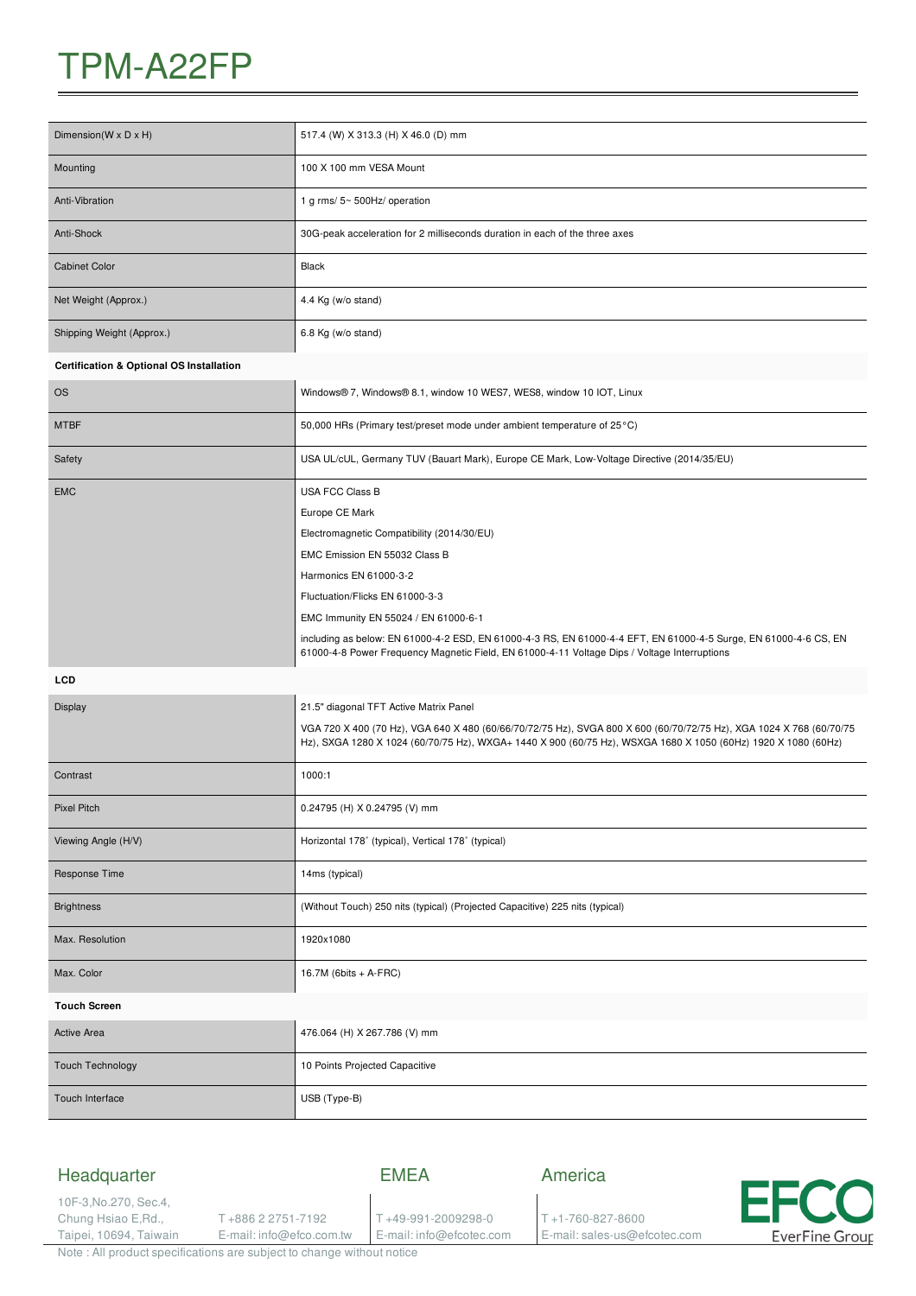# TPM-A22FP

| Dimension(W x D x H)                                | 517.4 (W) X 313.3 (H) X 46.0 (D) mm                                                                                                                                                                                                  |  |
|-----------------------------------------------------|--------------------------------------------------------------------------------------------------------------------------------------------------------------------------------------------------------------------------------------|--|
| Mounting                                            | 100 X 100 mm VESA Mount                                                                                                                                                                                                              |  |
| Anti-Vibration                                      | 1 g rms/ 5~ 500Hz/ operation                                                                                                                                                                                                         |  |
| Anti-Shock                                          | 30G-peak acceleration for 2 milliseconds duration in each of the three axes                                                                                                                                                          |  |
| <b>Cabinet Color</b>                                | Black                                                                                                                                                                                                                                |  |
| Net Weight (Approx.)                                | 4.4 Kg (w/o stand)                                                                                                                                                                                                                   |  |
| Shipping Weight (Approx.)                           | 6.8 Kg (w/o stand)                                                                                                                                                                                                                   |  |
| <b>Certification &amp; Optional OS Installation</b> |                                                                                                                                                                                                                                      |  |
| <b>OS</b>                                           | Windows® 7, Windows® 8.1, window 10 WES7, WES8, window 10 IOT, Linux                                                                                                                                                                 |  |
| <b>MTBF</b>                                         | 50,000 HRs (Primary test/preset mode under ambient temperature of 25 °C)                                                                                                                                                             |  |
| Safety                                              | USA UL/cUL, Germany TUV (Bauart Mark), Europe CE Mark, Low-Voltage Directive (2014/35/EU)                                                                                                                                            |  |
| <b>EMC</b>                                          | <b>USA FCC Class B</b>                                                                                                                                                                                                               |  |
|                                                     | Europe CE Mark                                                                                                                                                                                                                       |  |
|                                                     | Electromagnetic Compatibility (2014/30/EU)                                                                                                                                                                                           |  |
|                                                     | EMC Emission EN 55032 Class B                                                                                                                                                                                                        |  |
|                                                     | Harmonics EN 61000-3-2                                                                                                                                                                                                               |  |
|                                                     | Fluctuation/Flicks EN 61000-3-3                                                                                                                                                                                                      |  |
|                                                     | EMC Immunity EN 55024 / EN 61000-6-1                                                                                                                                                                                                 |  |
|                                                     | including as below: EN 61000-4-2 ESD, EN 61000-4-3 RS, EN 61000-4-4 EFT, EN 61000-4-5 Surge, EN 61000-4-6 CS, EN<br>61000-4-8 Power Frequency Magnetic Field, EN 61000-4-11 Voltage Dips / Voltage Interruptions                     |  |
| <b>LCD</b>                                          |                                                                                                                                                                                                                                      |  |
| <b>Display</b>                                      | 21.5" diagonal TFT Active Matrix Panel                                                                                                                                                                                               |  |
|                                                     | VGA 720 X 400 (70 Hz), VGA 640 X 480 (60/66/70/72/75 Hz), SVGA 800 X 600 (60/70/72/75 Hz), XGA 1024 X 768 (60/70/75<br>Hz), SXGA 1280 X 1024 (60/70/75 Hz), WXGA+ 1440 X 900 (60/75 Hz), WSXGA 1680 X 1050 (60Hz) 1920 X 1080 (60Hz) |  |
| Contrast                                            | 1000:1                                                                                                                                                                                                                               |  |
| Pixel Pitch                                         | 0.24795 (H) X 0.24795 (V) mm                                                                                                                                                                                                         |  |
| Viewing Angle (H/V)                                 | Horizontal 178° (typical), Vertical 178° (typical)                                                                                                                                                                                   |  |
| Response Time                                       | 14ms (typical)                                                                                                                                                                                                                       |  |
| <b>Brightness</b>                                   | (Without Touch) 250 nits (typical) (Projected Capacitive) 225 nits (typical)                                                                                                                                                         |  |
| Max. Resolution                                     | 1920x1080                                                                                                                                                                                                                            |  |
| Max. Color                                          | 16.7M (6bits + A-FRC)                                                                                                                                                                                                                |  |
| <b>Touch Screen</b>                                 |                                                                                                                                                                                                                                      |  |
| <b>Active Area</b>                                  | 476.064 (H) X 267.786 (V) mm                                                                                                                                                                                                         |  |
| <b>Touch Technology</b>                             | 10 Points Projected Capacitive                                                                                                                                                                                                       |  |
| Touch Interface                                     | USB (Type-B)                                                                                                                                                                                                                         |  |
|                                                     |                                                                                                                                                                                                                                      |  |

| Headquarter                                    |                                                                                                                                                                                                                                | FMFA                     | America                      |                |
|------------------------------------------------|--------------------------------------------------------------------------------------------------------------------------------------------------------------------------------------------------------------------------------|--------------------------|------------------------------|----------------|
| 10F-3, No. 270, Sec. 4,<br>Chung Hsiao E, Rd., | - +886 2 2751-7192                                                                                                                                                                                                             | T+49-991-2009298-0       | $T + 1 - 760 - 827 - 8600$   | <b>EFCO</b>    |
| Taipei, 10694, Taiwain                         | E-mail: info@efco.com.tw                                                                                                                                                                                                       | E-mail: info@efcotec.com | E-mail: sales-us@efcotec.com | EverFine Group |
|                                                | The second contract of the contract of the contract of the contract of the contract of the contract of the contract of the contract of the contract of the contract of the contract of the contract of the contract of the con |                          |                              |                |

Note : All product specifications are subject to change without notice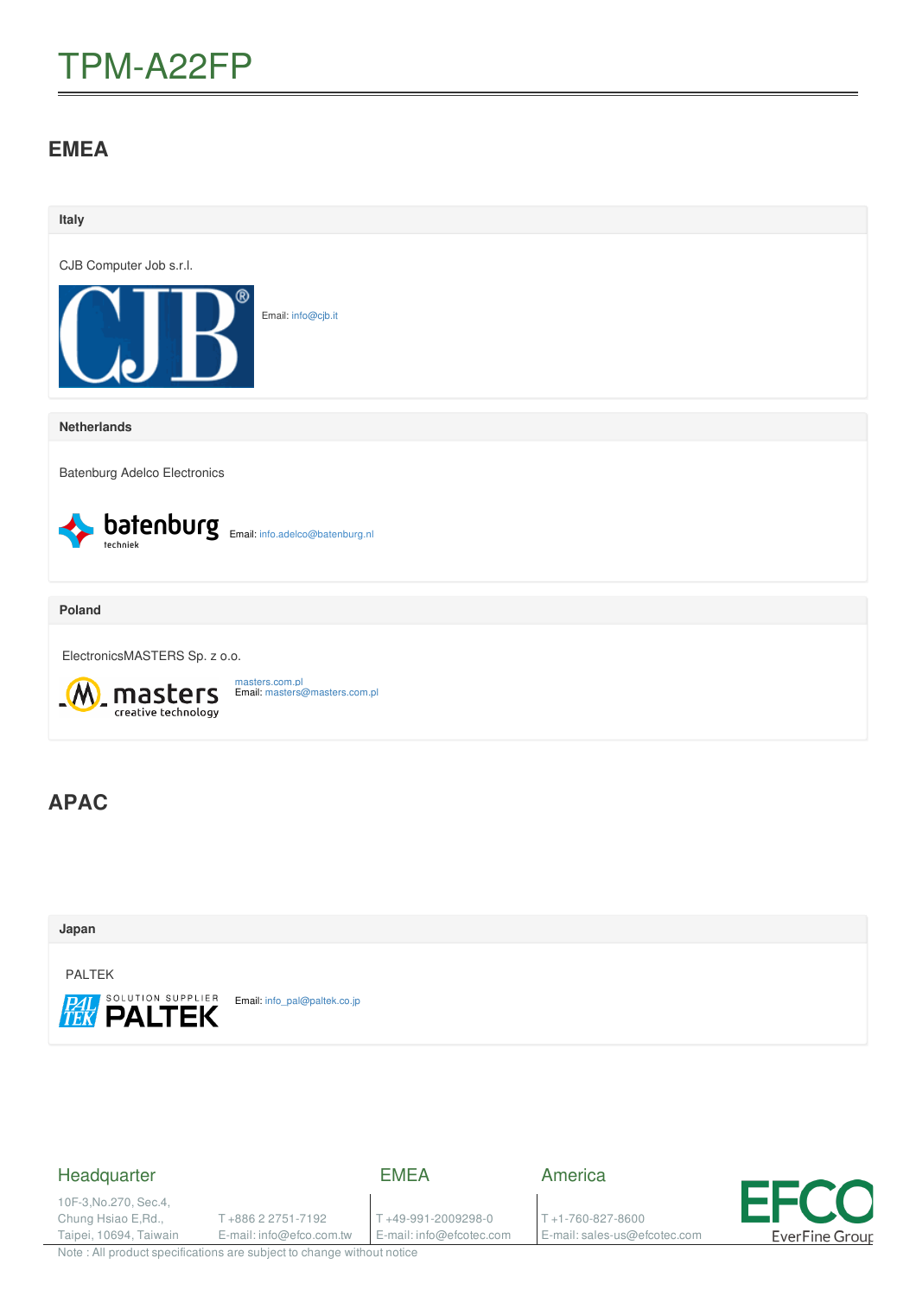# TPM-A22FP

### **EMEA**

| Italy                                                                             |
|-----------------------------------------------------------------------------------|
| CJB Computer Job s.r.l.                                                           |
| R<br>Email: info@cjb.it                                                           |
| <b>Netherlands</b>                                                                |
| <b>Batenburg Adelco Electronics</b>                                               |
| <b>batenburg</b> Email: info.adelco@batenburg.nl                                  |
| Poland                                                                            |
| ElectronicsMASTERS Sp. z o.o.                                                     |
| masters.com.pl<br>masters<br>creative technology<br>Email: masters@masters.com.pl |
| <b>APAC</b>                                                                       |
| Japan                                                                             |

PALTEK

**PAL SOLUTION SUPPLIER** Email: [info\\_pal@paltek.co.jp](mailto:info_pal@paltek.co.jp)

### Headquarter

EMEA

10F-3,No.270, Sec.4, Chung Hsiao E,Rd., Taipei, 10694, Taiwain

T +886 2 2751-7192 E-mail: info@efco.com.tw

T +49-991-2009298-0 E-mail: info@efcotec.com America

T +1-760-827-8600 E-mail: sales-us@efcotec.com



Note : All product specifications are subject to change without notice